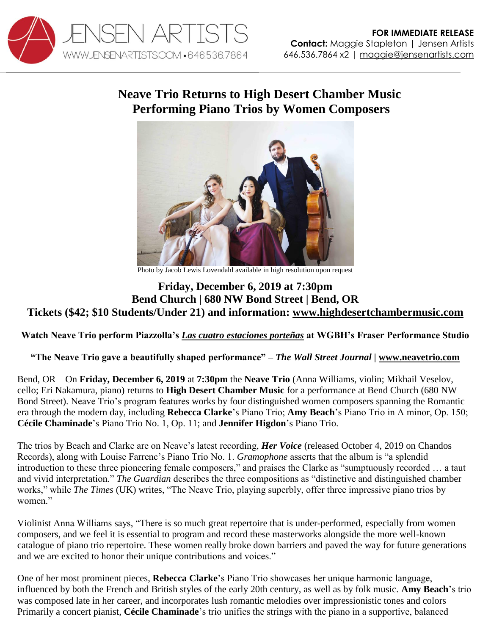

## **Neave Trio Returns to High Desert Chamber Music Performing Piano Trios by Women Composers**



Photo by Jacob Lewis Lovendahl available in high resolution upon request

## **Friday, December 6, 2019 at 7:30pm Bend Church | 680 NW Bond Street | Bend, OR Tickets (\$42; \$10 Students/Under 21) and information: [www.highdesertchambermusic.com](https://highdesertchambermusic.com/index.php/performers/neavetrio)**

**Watch Neave Trio perform Piazzolla's** *[Las cuatro estaciones porteñas](https://youtu.be/Xs3a6h4OV-E)* **at WGBH's Fraser Performance Studio**

**"The Neave Trio gave a beautifully shaped performance"** *– The Wall Street Journal |* **[www.neavetrio.com](http://www.neavetrio.com/)**

Bend, OR – On **Friday, December 6, 2019** at **7:30pm** the **Neave Trio** (Anna Williams, violin; Mikhail Veselov, cello; Eri Nakamura, piano) returns to **High Desert Chamber Music** for a performance at Bend Church (680 NW Bond Street). Neave Trio's program features works by four distinguished women composers spanning the Romantic era through the modern day, including **Rebecca Clarke**'s Piano Trio; **Amy Beach**'s Piano Trio in A minor, Op. 150; **Cécile Chaminade**'s Piano Trio No. 1, Op. 11; and **Jennifer Higdon**'s Piano Trio.

The trios by Beach and Clarke are on Neave's latest recording, *Her Voice* (released October 4, 2019 on Chandos Records), along with Louise Farrenc's Piano Trio No. 1. *Gramophone* asserts that the album is "a splendid introduction to these three pioneering female composers," and praises the Clarke as "sumptuously recorded … a taut and vivid interpretation." *The Guardian* describes the three compositions as "distinctive and distinguished chamber works," while *The Times* (UK) writes, "The Neave Trio, playing superbly, offer three impressive piano trios by women."

Violinist Anna Williams says, "There is so much great repertoire that is under-performed, especially from women composers, and we feel it is essential to program and record these masterworks alongside the more well-known catalogue of piano trio repertoire. These women really broke down barriers and paved the way for future generations and we are excited to honor their unique contributions and voices."

One of her most prominent pieces, **Rebecca Clarke**'s Piano Trio showcases her unique harmonic language, influenced by both the French and British styles of the early 20th century, as well as by folk music. **Amy Beach**'s trio was composed late in her career, and incorporates lush romantic melodies over impressionistic tones and colors Primarily a concert pianist, **Cécile Chaminade**'s trio unifies the strings with the piano in a supportive, balanced